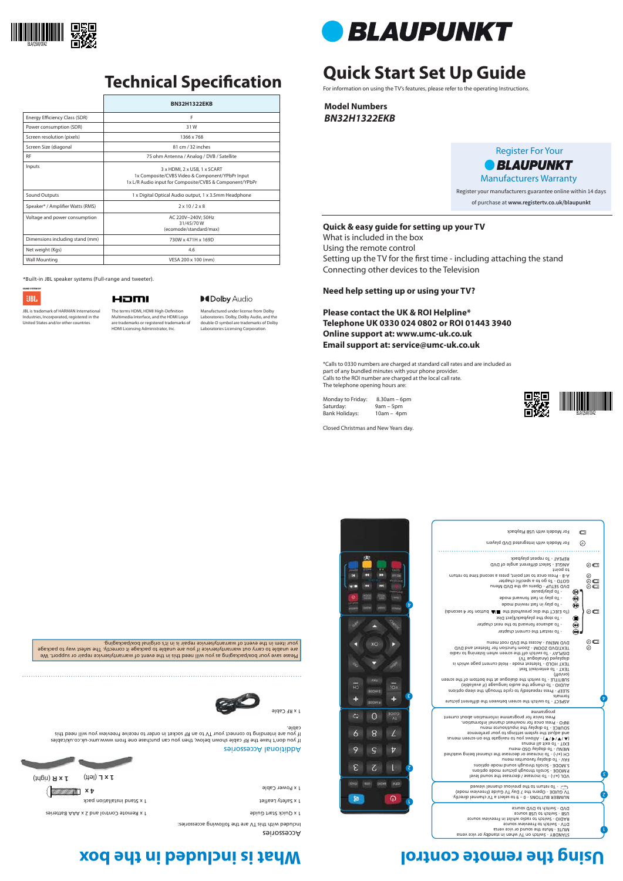# **Quick Start Set Up Guide**

For information on using the TV's features, please refer to the operating Instructions.

**Model Numbers** *BN32H1322EKB*

Please save your box/packaging as you will need this in the event of warranty/service repair or support. We are unable to carry out warranty/service if you are unable to package it correctly. The safest way to package your item in the event of warranty/service repair is in it's original box/packaging.

# **Using the remote control controlling the box included in the box**

|                                  | <b>BN32H1322EKB</b>                                                                                                                        |
|----------------------------------|--------------------------------------------------------------------------------------------------------------------------------------------|
| Energy Efficiency Class (SDR)    | F                                                                                                                                          |
| Power consumption (SDR)          | 31W                                                                                                                                        |
| Screen resolution (pixels)       | 1366 x 768                                                                                                                                 |
| Screen Size (diagonal            | 81 cm / 32 inches                                                                                                                          |
| <b>RF</b>                        | 75 ohm Antenna / Analog / DVB / Satellite                                                                                                  |
| Inputs                           | 3 x HDMI, 2 x USB, 1 x SCART<br>1x Composite/CVBS Video & Component/YPbPr Input<br>1x L/R Audio input for Composite/CVBS & Component/YPbPr |
| Sound Outputs                    | 1 x Digital Optical Audio output, 1 x 3.5mm Headphone                                                                                      |
| Speaker* / Amplifier Watts (RMS) | $2 \times 10 / 2 \times 8$                                                                                                                 |
| Voltage and power consumption    | AC 220V~240V: 50Hz<br>31/45/70W<br>(ecomode/standard/max)                                                                                  |
| Dimensions including stand (mm)  | 730W x 471H x 169D                                                                                                                         |
| Net weight (Kgs)                 | 4.6                                                                                                                                        |
| <b>Wall Mounting</b>             | VESA 200 x 100 (mm)                                                                                                                        |

### **Quick & easy guide for setting up your TV**

The terms HDMI, HDMI High-Definition Multimedia Interface, and the HDMI Logo are trademarks or registered trademarks of What is included in the box Using the remote control Setting up the TV for the first time - including attaching the stand Connecting other devices to the Television

### **Need help setting up or using your TV?**

**Please contact the UK & ROI Helpline\* Telephone UK 0330 024 0802 or ROI 01443 3940 Online support at: www.umc-uk.co.uk Email support at: service@umc-uk.co.uk**

\*Calls to 0330 numbers are charged at standard call rates and are included as part of any bundled minutes with your phone provider. Calls to the ROI number are charged at the local call rate. The telephone opening hours are:

Monday to Friday: 8.30am – 6pm Saturday: 9am – 5pm Bank Holidays: 10am – 4pm

Closed Christmas and New Years day.

\*Built-in JBL speaker systems (Full-range and tweeter).

**UBL** 

### HƏMI

JBL is trademark of HARMAN International Industries, Incorporated, registered in the United States and/or other countries.



2

l





# **Technical Specification**

HDMI Licensing Administrator, Inc.

### **MDolby Audio**

Register For Your *• BLAUPUNKT* Manufacturers Warranty Register your manufacturers guarantee online within 14 days of purchase at **www.registertv.co.uk/blaupunkt**

**4 x**

Additional Accessories

et 1 x Safety Leaflet and installation parameter  $\alpha$  is speed to the 1 x Separate 1 x Separate 1 x Separate 1 x Separate 1 x Separate 1 x Separate 1 x Separate 1 x Separate 1 x Separate 1 x Separate 1 x Separate 1 x Separ

Manufactured under license from Dolby Laboratories. Dolby, Dolby Audio, and the double-D symbol are trademarks of Dolby Laboratories Licensing Corporation.



STANDBY - Switch on TV when in standby or vice versa MUTE - Mute the sound or vice versa DTV - Switch to Freeview source RADIO - Switch to radio whilst in Freeview source USB - Switch to USB source DVD - Switch to DVD source

NUMBER BUTTONS - 0 – 9 to select a TV channel directly. TV GUIDE - Opens the 7 Day TV Guide (Freeview 1 - To return to the previous channel viewed

٤

 $\bm{\mathrm{b}}$ 

|              | For Models with USB Playback                                                                       | ▭       |
|--------------|----------------------------------------------------------------------------------------------------|---------|
|              | For Models with Integrated DVD players                                                             | の       |
|              |                                                                                                    |         |
|              | REPEAT - To repeat playback                                                                        |         |
|              | ANGLE - Select different angle of DVD<br>to point                                                  | ◉▥      |
|              | A-B - Press once to set point, press a second time to return<br>GOTO - To go to a specific chapter | ⊚<br>◉▥ |
|              | DVD SETUP - Opens up the DVD Menu<br>- Lo bjsv\bsnee                                               | ⊚⊏      |
|              | - To play in fast forward mode                                                                     |         |
| $\mathbf{t}$ | - To play in fast rewind mode                                                                      | کی۔     |
|              | (70 EJECT the disc press/hold the 12 button for 4 seconds)                                         | ⊙⊏      |
|              | - To stop the playback/Eject Disc                                                                  | 000     |
|              | - To advance forward to the next chapter                                                           |         |
|              | - To restart the current chapter                                                                   |         |
|              | DVD MENU - Access the DVD root menu                                                                | ◉▥      |
|              | TEXT/DVD ZOOM - Zoom function for Teletext and DVD                                                 | の       |
|              | oibs of prinetal nedw neens edt the dotiwe oT - YAJ92IO<br>(VT supolsnA) beysiqaib                 |         |
|              | TEXT HOLD - Teletext mode - Hold current page which is                                             |         |

) - To increase / decrease the sound level **+/-** VOL ( P.MODE - Scrolls through picture mode options S.MODE - Scrolls through sound mode options FAV - To display favourites menu ) - To increase or decrease the channel being watched **+/-** CH ( MENU - To display OSD menu EXIT - To exit all menus end on  $\blacktriangledown$  /  $\blacktriangledown$  /  $\blacktriangledown$  /  $\blacktriangledown$  /  $\blacktriangledown$  /  $\blacktriangledown$  /  $\blacktriangledown$  /  $\blacktriangledown$  /  $\blacktriangledown$  /  $\blacktriangledown$  /  $\blacktriangledown$  /  $\blacktriangledown$  /  $\blacktriangledown$  /  $\blacktriangledown$  /  $\blacktriangledown$  /  $\blacktriangledown$  /  $\blacktriangledown$  /  $\blacktriangledown$  /  $\blacktriangledown$  /  $\blacktriangledown$  /  $\blacktriangledown$  /  $\blacktri$ and adjust the system settings to your preference SOURCE - To display the input/source menu INFO - Press once for now/next channel information.

### If you don't have the RF cable shown below, then you can purchase one from www.umc-uk.co.uk/cables If you are intending to connect your TV to an RF socket in order to receive Freeview you will need this cable. 1 x RF Cable

 Press twice for programme information about current programme

ASPECT - To switch the screen between the different picture formats SLEEP - Press repeatedly to cycle through the sleep options AUDIO - To change the audio language (if available) SUBTITLE - To switch the dialogue at the bottom of the screen

(on/off) TEXT - To enter/exit Text

Accessories

Included with this TV are the following accessories:

1 x Quick Start Guide Control and 2 x Apple Control and 2 x Assembly X and 2 x Apple Control and 2 x Quick Start Guide Control and 2 x  $\Gamma$ 

(right) **1 x R** (left) **1 x L** 





1 x Power Cable